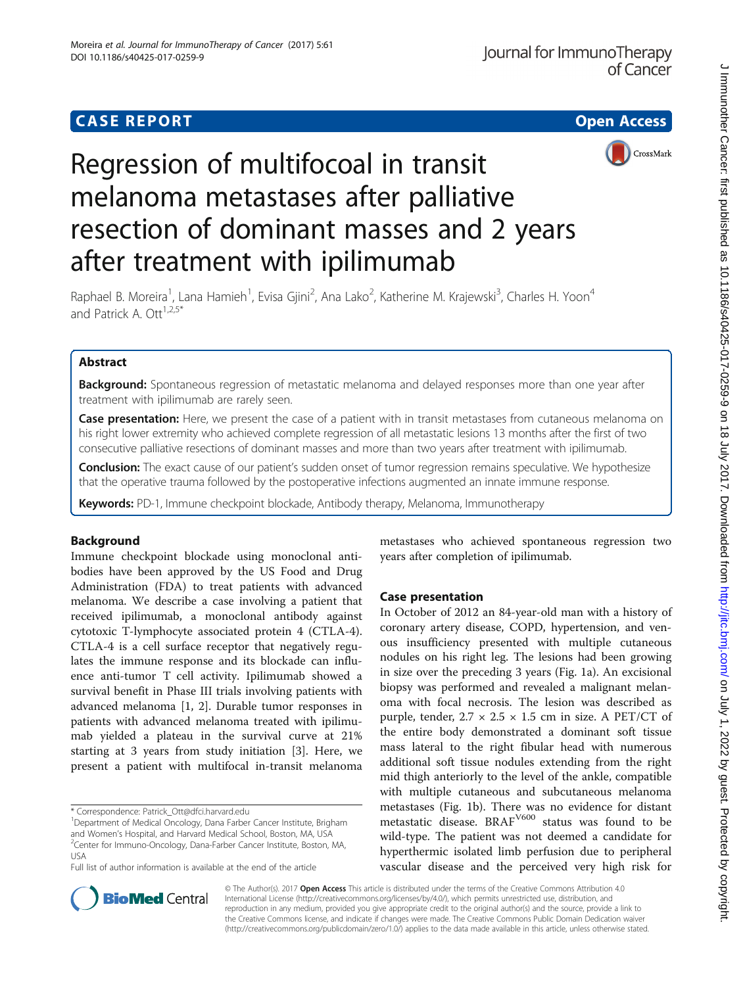

# Regression of multifocoal in transit melanoma metastases after palliative resection of dominant masses and 2 years after treatment with ipilimumab

Raphael B. Moreira<sup>1</sup>, Lana Hamieh<sup>1</sup>, Evisa Gjini<sup>2</sup>, Ana Lako<sup>2</sup>, Katherine M. Krajewski<sup>3</sup>, Charles H. Yoon<sup>4</sup> and Patrick A. Ott $1,2.5*$ 

# Abstract

**Background:** Spontaneous regression of metastatic melanoma and delayed responses more than one year after treatment with ipilimumab are rarely seen.

Case presentation: Here, we present the case of a patient with in transit metastases from cutaneous melanoma on his right lower extremity who achieved complete regression of all metastatic lesions 13 months after the first of two consecutive palliative resections of dominant masses and more than two years after treatment with ipilimumab.

**Conclusion:** The exact cause of our patient's sudden onset of tumor regression remains speculative. We hypothesize that the operative trauma followed by the postoperative infections augmented an innate immune response.

Keywords: PD-1, Immune checkpoint blockade, Antibody therapy, Melanoma, Immunotherapy

# Background

Immune checkpoint blockade using monoclonal antibodies have been approved by the US Food and Drug Administration (FDA) to treat patients with advanced melanoma. We describe a case involving a patient that received ipilimumab, a monoclonal antibody against cytotoxic T-lymphocyte associated protein 4 (CTLA-4). CTLA-4 is a cell surface receptor that negatively regulates the immune response and its blockade can influence anti-tumor T cell activity. Ipilimumab showed a survival benefit in Phase III trials involving patients with advanced melanoma [\[1](#page-3-0), [2](#page-3-0)]. Durable tumor responses in patients with advanced melanoma treated with ipilimumab yielded a plateau in the survival curve at 21% starting at 3 years from study initiation [\[3\]](#page-3-0). Here, we present a patient with multifocal in-transit melanoma

\* Correspondence: [Patrick\\_Ott@dfci.harvard.edu](mailto:Patrick_Ott@dfci.harvard.edu) <sup>1</sup>

Full list of author information is available at the end of the article

metastases who achieved spontaneous regression two years after completion of ipilimumab.

# Case presentation

In October of 2012 an 84-year-old man with a history of coronary artery disease, COPD, hypertension, and venous insufficiency presented with multiple cutaneous nodules on his right leg. The lesions had been growing in size over the preceding 3 years (Fig. [1a\)](#page-1-0). An excisional biopsy was performed and revealed a malignant melanoma with focal necrosis. The lesion was described as purple, tender,  $2.7 \times 2.5 \times 1.5$  cm in size. A PET/CT of the entire body demonstrated a dominant soft tissue mass lateral to the right fibular head with numerous additional soft tissue nodules extending from the right mid thigh anteriorly to the level of the ankle, compatible with multiple cutaneous and subcutaneous melanoma metastases (Fig. [1b](#page-1-0)). There was no evidence for distant metastatic disease. BRAF<sup>V600</sup> status was found to be wild-type. The patient was not deemed a candidate for hyperthermic isolated limb perfusion due to peripheral vascular disease and the perceived very high risk for



© The Author(s). 2017 Open Access This article is distributed under the terms of the Creative Commons Attribution 4.0 International License [\(http://creativecommons.org/licenses/by/4.0/](http://creativecommons.org/licenses/by/4.0/)), which permits unrestricted use, distribution, and reproduction in any medium, provided you give appropriate credit to the original author(s) and the source, provide a link to the Creative Commons license, and indicate if changes were made. The Creative Commons Public Domain Dedication waiver [\(http://creativecommons.org/publicdomain/zero/1.0/](http://creativecommons.org/publicdomain/zero/1.0/)) applies to the data made available in this article, unless otherwise stated.

<sup>&</sup>lt;sup>1</sup>Department of Medical Oncology, Dana Farber Cancer Institute, Brigham and Women's Hospital, and Harvard Medical School, Boston, MA, USA <sup>2</sup> <sup>2</sup>Center for Immuno-Oncology, Dana-Farber Cancer Institute, Boston, MA, USA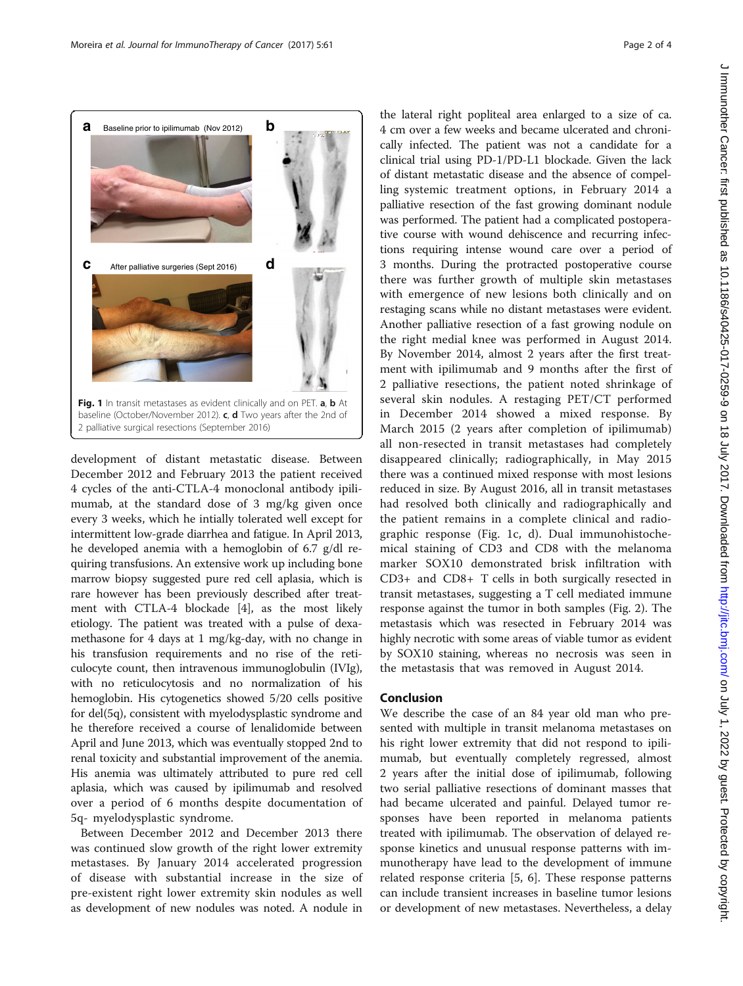<span id="page-1-0"></span>

development of distant metastatic disease. Between December 2012 and February 2013 the patient received 4 cycles of the anti-CTLA-4 monoclonal antibody ipilimumab, at the standard dose of 3 mg/kg given once every 3 weeks, which he intially tolerated well except for intermittent low-grade diarrhea and fatigue. In April 2013, he developed anemia with a hemoglobin of 6.7 g/dl requiring transfusions. An extensive work up including bone marrow biopsy suggested pure red cell aplasia, which is rare however has been previously described after treatment with CTLA-4 blockade [\[4](#page-3-0)], as the most likely etiology. The patient was treated with a pulse of dexamethasone for 4 days at 1 mg/kg-day, with no change in his transfusion requirements and no rise of the reticulocyte count, then intravenous immunoglobulin (IVIg), with no reticulocytosis and no normalization of his hemoglobin. His cytogenetics showed 5/20 cells positive for del(5q), consistent with myelodysplastic syndrome and he therefore received a course of lenalidomide between April and June 2013, which was eventually stopped 2nd to renal toxicity and substantial improvement of the anemia. His anemia was ultimately attributed to pure red cell aplasia, which was caused by ipilimumab and resolved over a period of 6 months despite documentation of 5q- myelodysplastic syndrome.

Between December 2012 and December 2013 there was continued slow growth of the right lower extremity metastases. By January 2014 accelerated progression of disease with substantial increase in the size of pre-existent right lower extremity skin nodules as well as development of new nodules was noted. A nodule in

the lateral right popliteal area enlarged to a size of ca. 4 cm over a few weeks and became ulcerated and chronically infected. The patient was not a candidate for a clinical trial using PD-1/PD-L1 blockade. Given the lack of distant metastatic disease and the absence of compelling systemic treatment options, in February 2014 a palliative resection of the fast growing dominant nodule was performed. The patient had a complicated postoperative course with wound dehiscence and recurring infections requiring intense wound care over a period of 3 months. During the protracted postoperative course there was further growth of multiple skin metastases with emergence of new lesions both clinically and on restaging scans while no distant metastases were evident. Another palliative resection of a fast growing nodule on the right medial knee was performed in August 2014. By November 2014, almost 2 years after the first treatment with ipilimumab and 9 months after the first of 2 palliative resections, the patient noted shrinkage of several skin nodules. A restaging PET/CT performed in December 2014 showed a mixed response. By March 2015 (2 years after completion of ipilimumab) all non-resected in transit metastases had completely disappeared clinically; radiographically, in May 2015 there was a continued mixed response with most lesions reduced in size. By August 2016, all in transit metastases had resolved both clinically and radiographically and the patient remains in a complete clinical and radiographic response (Fig. 1c, d). Dual immunohistochemical staining of CD3 and CD8 with the melanoma marker SOX10 demonstrated brisk infiltration with CD3+ and CD8+ T cells in both surgically resected in transit metastases, suggesting a T cell mediated immune response against the tumor in both samples (Fig. [2\)](#page-2-0). The metastasis which was resected in February 2014 was highly necrotic with some areas of viable tumor as evident by SOX10 staining, whereas no necrosis was seen in the metastasis that was removed in August 2014.

## Conclusion

We describe the case of an 84 year old man who presented with multiple in transit melanoma metastases on his right lower extremity that did not respond to ipilimumab, but eventually completely regressed, almost 2 years after the initial dose of ipilimumab, following two serial palliative resections of dominant masses that had became ulcerated and painful. Delayed tumor responses have been reported in melanoma patients treated with ipilimumab. The observation of delayed response kinetics and unusual response patterns with immunotherapy have lead to the development of immune related response criteria [\[5](#page-3-0), [6](#page-3-0)]. These response patterns can include transient increases in baseline tumor lesions or development of new metastases. Nevertheless, a delay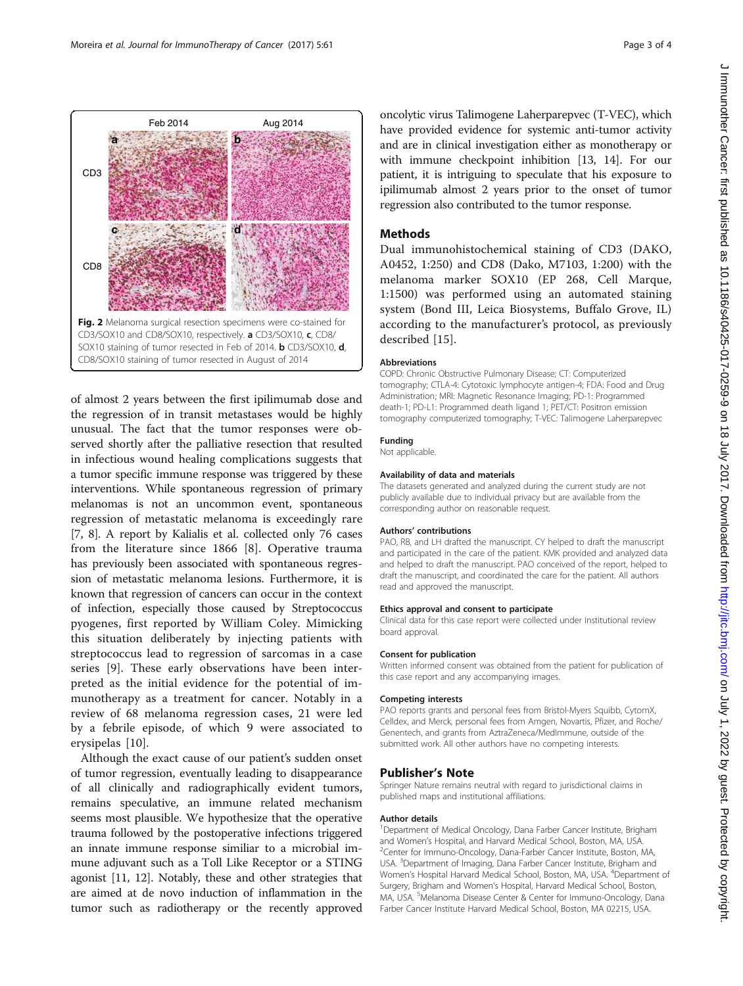<span id="page-2-0"></span>

of almost 2 years between the first ipilimumab dose and the regression of in transit metastases would be highly unusual. The fact that the tumor responses were observed shortly after the palliative resection that resulted in infectious wound healing complications suggests that a tumor specific immune response was triggered by these interventions. While spontaneous regression of primary melanomas is not an uncommon event, spontaneous regression of metastatic melanoma is exceedingly rare [[7, 8\]](#page-3-0). A report by Kalialis et al. collected only 76 cases from the literature since 1866 [[8](#page-3-0)]. Operative trauma has previously been associated with spontaneous regression of metastatic melanoma lesions. Furthermore, it is known that regression of cancers can occur in the context of infection, especially those caused by Streptococcus pyogenes, first reported by William Coley. Mimicking this situation deliberately by injecting patients with streptococcus lead to regression of sarcomas in a case series [[9\]](#page-3-0). These early observations have been interpreted as the initial evidence for the potential of immunotherapy as a treatment for cancer. Notably in a review of 68 melanoma regression cases, 21 were led by a febrile episode, of which 9 were associated to erysipelas [[10](#page-3-0)].

Although the exact cause of our patient's sudden onset of tumor regression, eventually leading to disappearance of all clinically and radiographically evident tumors, remains speculative, an immune related mechanism seems most plausible. We hypothesize that the operative trauma followed by the postoperative infections triggered an innate immune response similiar to a microbial immune adjuvant such as a Toll Like Receptor or a STING agonist [\[11, 12\]](#page-3-0). Notably, these and other strategies that are aimed at de novo induction of inflammation in the tumor such as radiotherapy or the recently approved

oncolytic virus Talimogene Laherparepvec (T-VEC), which have provided evidence for systemic anti-tumor activity and are in clinical investigation either as monotherapy or with immune checkpoint inhibition [\[13, 14\]](#page-3-0). For our patient, it is intriguing to speculate that his exposure to ipilimumab almost 2 years prior to the onset of tumor regression also contributed to the tumor response.

# Methods

Dual immunohistochemical staining of CD3 (DAKO, A0452, 1:250) and CD8 (Dako, M7103, 1:200) with the melanoma marker SOX10 (EP 268, Cell Marque, 1:1500) was performed using an automated staining system (Bond III, Leica Biosystems, Buffalo Grove, IL) according to the manufacturer's protocol, as previously described [\[15\]](#page-3-0).

### Abbreviations

COPD: Chronic Obstructive Pulmonary Disease; CT: Computerized tomography; CTLA-4: Cytotoxic lymphocyte antigen-4; FDA: Food and Drug Administration; MRI: Magnetic Resonance Imaging; PD-1: Programmed death-1; PD-L1: Programmed death ligand 1; PET/CT: Positron emission tomography computerized tomography; T-VEC: Talimogene Laherparepvec

# Funding

Not applicable.

### Availability of data and materials

The datasets generated and analyzed during the current study are not publicly available due to individual privacy but are available from the corresponding author on reasonable request.

#### Authors' contributions

PAO, RB, and LH drafted the manuscript. CY helped to draft the manuscript and participated in the care of the patient. KMK provided and analyzed data and helped to draft the manuscript. PAO conceived of the report, helped to draft the manuscript, and coordinated the care for the patient. All authors read and approved the manuscript.

#### Ethics approval and consent to participate

Clinical data for this case report were collected under institutional review board approval.

#### Consent for publication

Written informed consent was obtained from the patient for publication of this case report and any accompanying images.

#### Competing interests

PAO reports grants and personal fees from Bristol-Myers Squibb, CytomX, Celldex, and Merck, personal fees from Amgen, Novartis, Pfizer, and Roche/ Genentech, and grants from AztraZeneca/MedImmune, outside of the submitted work. All other authors have no competing interests.

### Publisher's Note

Springer Nature remains neutral with regard to jurisdictional claims in published maps and institutional affiliations.

#### Author details

<sup>1</sup>Department of Medical Oncology, Dana Farber Cancer Institute, Brigham and Women's Hospital, and Harvard Medical School, Boston, MA, USA. <sup>2</sup> Center for Immuno-Oncology, Dana-Farber Cancer Institute, Boston, MA, USA. <sup>3</sup>Department of Imaging, Dana Farber Cancer Institute, Brigham and Women's Hospital Harvard Medical School, Boston, MA, USA. <sup>4</sup>Department of Surgery, Brigham and Women's Hospital, Harvard Medical School, Boston, MA, USA. <sup>5</sup>Melanoma Disease Center & Center for Immuno-Oncology, Dana Farber Cancer Institute Harvard Medical School, Boston, MA 02215, USA.